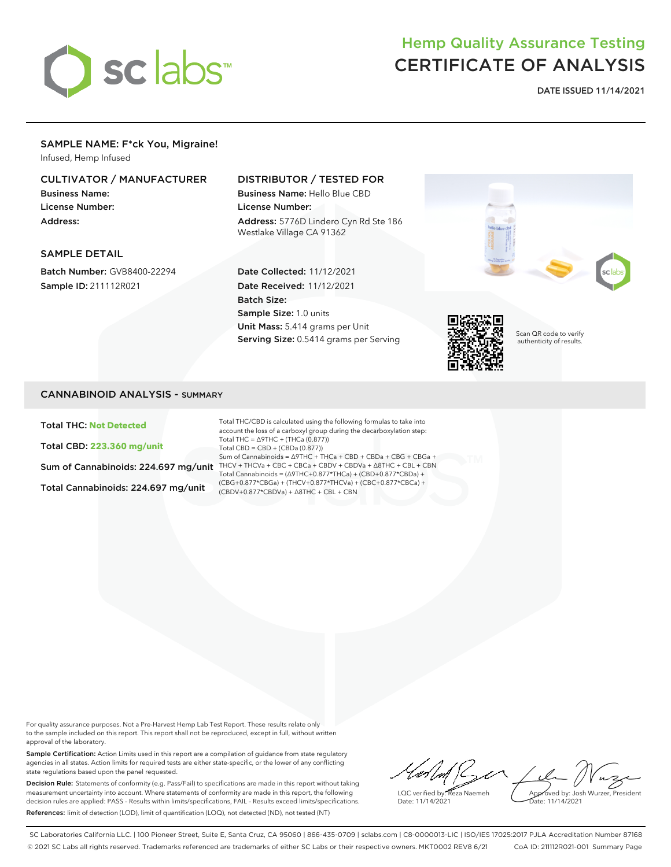

# Hemp Quality Assurance Testing CERTIFICATE OF ANALYSIS

**DATE ISSUED 11/14/2021**

## SAMPLE NAME: F\*ck You, Migraine!

Infused, Hemp Infused

#### CULTIVATOR / MANUFACTURER

Business Name: License Number: Address:

#### DISTRIBUTOR / TESTED FOR

Business Name: Hello Blue CBD License Number: Address: 5776D Lindero Cyn Rd Ste 186

#### SAMPLE DETAIL

Batch Number: GVB8400-22294 Sample ID: 211112R021

# Westlake Village CA 91362

Date Collected: 11/12/2021 Date Received: 11/12/2021 Batch Size: Sample Size: 1.0 units Unit Mass: 5.414 grams per Unit Serving Size: 0.5414 grams per Serving



Scan QR code to verify authenticity of results.

#### CANNABINOID ANALYSIS - SUMMARY

Total THC: **Not Detected**

Total CBD: **223.360 mg/unit**

Total Cannabinoids: 224.697 mg/unit

Sum of Cannabinoids: 224.697 mg/unit THCV + THCVa + CBC + CBCa + CBDV + CBDVa +  $\Delta$ 8THC + CBL + CBN Total THC/CBD is calculated using the following formulas to take into account the loss of a carboxyl group during the decarboxylation step: Total THC = ∆9THC + (THCa (0.877)) Total CBD = CBD + (CBDa (0.877)) Sum of Cannabinoids = ∆9THC + THCa + CBD + CBDa + CBG + CBGa + Total Cannabinoids = (∆9THC+0.877\*THCa) + (CBD+0.877\*CBDa) + (CBG+0.877\*CBGa) + (THCV+0.877\*THCVa) + (CBC+0.877\*CBCa) + (CBDV+0.877\*CBDVa) + ∆8THC + CBL + CBN

For quality assurance purposes. Not a Pre-Harvest Hemp Lab Test Report. These results relate only to the sample included on this report. This report shall not be reproduced, except in full, without written approval of the laboratory.

Sample Certification: Action Limits used in this report are a compilation of guidance from state regulatory agencies in all states. Action limits for required tests are either state-specific, or the lower of any conflicting state regulations based upon the panel requested.

Decision Rule: Statements of conformity (e.g. Pass/Fail) to specifications are made in this report without taking measurement uncertainty into account. Where statements of conformity are made in this report, the following decision rules are applied: PASS – Results within limits/specifications, FAIL – Results exceed limits/specifications. References: limit of detection (LOD), limit of quantification (LOQ), not detected (ND), not tested (NT)

 $\frac{1}{2}$ Approved by: Josh Wurzer, President LQC verified by: Reza Naemeh Date: 11/14/2021 Date: 11/14/2021

SC Laboratories California LLC. | 100 Pioneer Street, Suite E, Santa Cruz, CA 95060 | 866-435-0709 | sclabs.com | C8-0000013-LIC | ISO/IES 17025:2017 PJLA Accreditation Number 87168 © 2021 SC Labs all rights reserved. Trademarks referenced are trademarks of either SC Labs or their respective owners. MKT0002 REV8 6/21 CoA ID: 211112R021-001 Summary Page